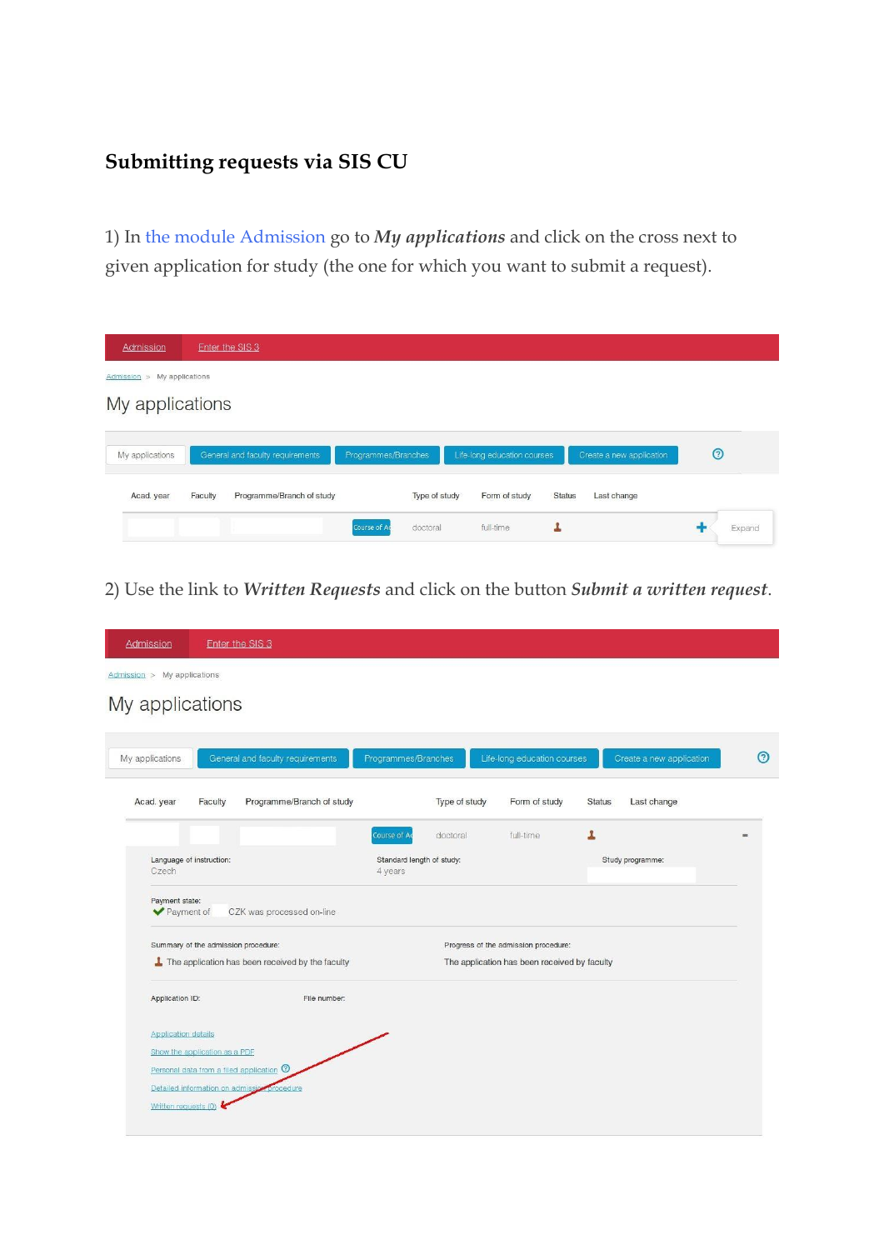## **Submitting requests via SIS CU**

1) In the module [Admission](https://is.cuni.cz/studium/eng/prijimacky) go to *My applications* and click on the cross next to given application for study (the one for which you want to submit a request).

| Admission                      | Enter the SIS 3                      |                          |                             |                              |         |
|--------------------------------|--------------------------------------|--------------------------|-----------------------------|------------------------------|---------|
| My applications<br>Admission > |                                      |                          |                             |                              |         |
| My applications                |                                      |                          |                             |                              |         |
|                                |                                      |                          |                             |                              |         |
| My applications                | General and faculty requirements     | Programmes/Branches      | Life-long education courses | Create a new application     | $\odot$ |
| Acad. year                     | Programme/Branch of study<br>Faculty | Type of study            | Form of study               | <b>Status</b><br>Last change |         |
|                                |                                      | doctoral<br>Course of Ad | full-time                   |                              | Expand  |

2) Use the link to *Written Requests* and click on the button *Submit a written request*.

| Admission                   |                                                     | Enter the SIS 3 |                                                  |                                      |               |                                              |               |                          |         |
|-----------------------------|-----------------------------------------------------|-----------------|--------------------------------------------------|--------------------------------------|---------------|----------------------------------------------|---------------|--------------------------|---------|
| Admission > My applications |                                                     |                 |                                                  |                                      |               |                                              |               |                          |         |
| My applications             |                                                     |                 |                                                  |                                      |               |                                              |               |                          |         |
|                             |                                                     |                 |                                                  |                                      |               |                                              |               |                          |         |
| My applications             |                                                     |                 | General and faculty requirements                 | Programmes/Branches                  |               | Life-long education courses                  |               | Create a new application | $\odot$ |
| Acad. year                  | Faculty                                             |                 | Programme/Branch of study                        |                                      | Type of study | Form of study                                | <b>Status</b> | Last change              |         |
|                             |                                                     |                 |                                                  | Course of Ac                         | doctoral      | full-time                                    | L             |                          |         |
| Czech                       | Language of instruction:                            |                 |                                                  | Standard length of study:<br>4 years |               |                                              |               | Study programme:         |         |
|                             | Payment state:<br>Payment of                        |                 | CZK was processed on-line                        |                                      |               |                                              |               |                          |         |
|                             |                                                     |                 |                                                  |                                      |               |                                              |               |                          |         |
|                             | Summary of the admission procedure:                 |                 |                                                  | Progress of the admission procedure: |               |                                              |               |                          |         |
|                             |                                                     |                 | The application has been received by the faculty |                                      |               | The application has been received by faculty |               |                          |         |
|                             | Application ID:                                     |                 | File number:                                     |                                      |               |                                              |               |                          |         |
|                             | <b>Application details</b>                          |                 |                                                  |                                      |               |                                              |               |                          |         |
|                             | Show the application as a PDF                       |                 |                                                  |                                      |               |                                              |               |                          |         |
|                             | Personal data from a filed application <sup>O</sup> |                 |                                                  |                                      |               |                                              |               |                          |         |
|                             | Detailed information on admissic                    |                 | procedure                                        |                                      |               |                                              |               |                          |         |
|                             | Written requests (0)                                |                 |                                                  |                                      |               |                                              |               |                          |         |
|                             |                                                     |                 |                                                  |                                      |               |                                              |               |                          |         |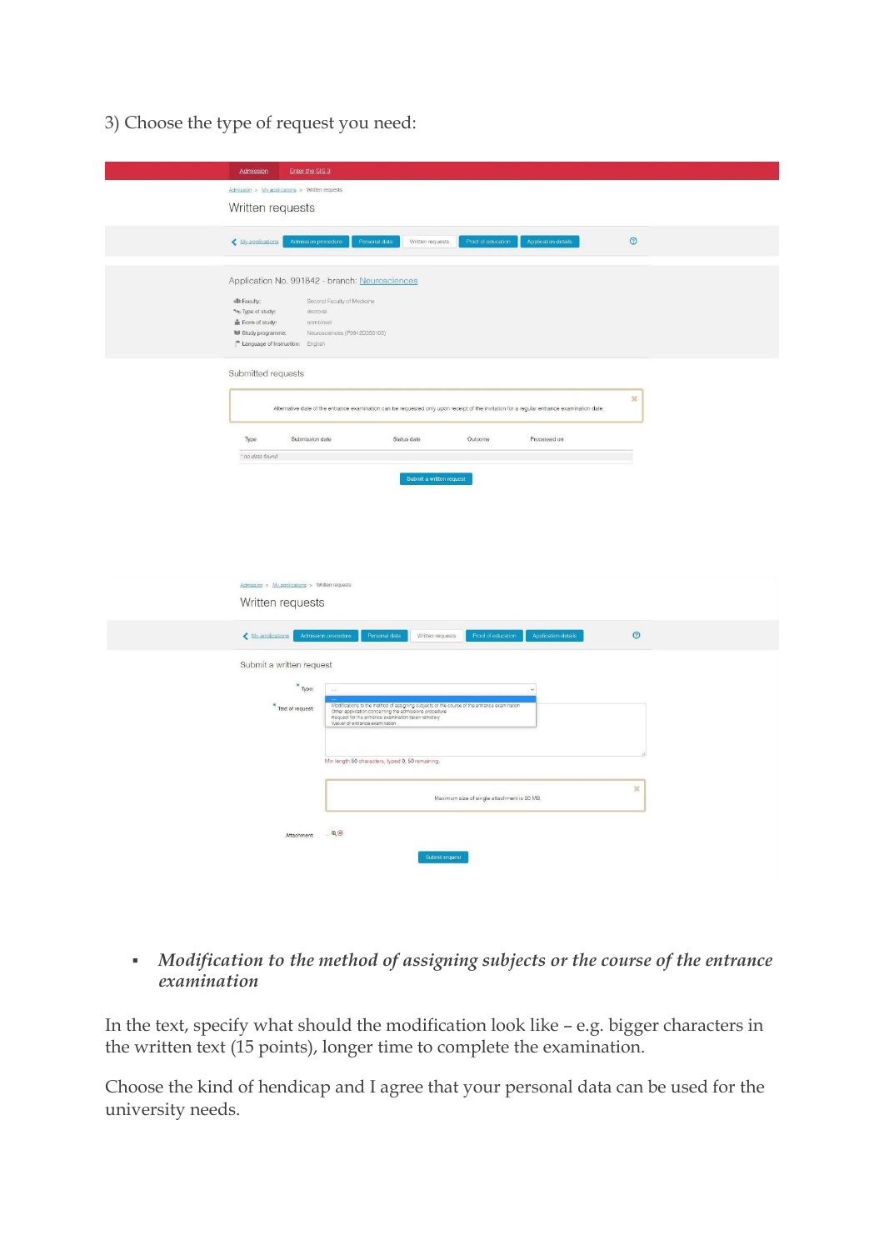3) Choose the type of request you need:

| Enter the SIS 3<br>Admission                                                                |                                                                                                                                                                                                                                               |                          |                                             |                                                                                                                                            |                |
|---------------------------------------------------------------------------------------------|-----------------------------------------------------------------------------------------------------------------------------------------------------------------------------------------------------------------------------------------------|--------------------------|---------------------------------------------|--------------------------------------------------------------------------------------------------------------------------------------------|----------------|
| Admission > My applications > Written requests                                              |                                                                                                                                                                                                                                               |                          |                                             |                                                                                                                                            |                |
| Written requests                                                                            |                                                                                                                                                                                                                                               |                          |                                             |                                                                                                                                            |                |
|                                                                                             |                                                                                                                                                                                                                                               |                          |                                             |                                                                                                                                            |                |
| Admission procedure<br>< My applications                                                    | Personal data                                                                                                                                                                                                                                 | Written requests         | Proof of education                          | Application details                                                                                                                        | $\circledcirc$ |
|                                                                                             |                                                                                                                                                                                                                                               |                          |                                             |                                                                                                                                            |                |
| Application No. 991842 - branch: Neurosciences                                              |                                                                                                                                                                                                                                               |                          |                                             |                                                                                                                                            |                |
| de Faculty:                                                                                 | Second Faculty of Medicine                                                                                                                                                                                                                    |                          |                                             |                                                                                                                                            |                |
| the Type of study:<br>doctoral<br>Form of study:<br>combined                                |                                                                                                                                                                                                                                               |                          |                                             |                                                                                                                                            |                |
| <b>III</b> Study programme:<br>$\mathbb{I}^{\mathfrak{m}}$ Language of instruction: English | Neurosciences (P0912D350105)                                                                                                                                                                                                                  |                          |                                             |                                                                                                                                            |                |
|                                                                                             |                                                                                                                                                                                                                                               |                          |                                             |                                                                                                                                            |                |
| Submitted requests                                                                          |                                                                                                                                                                                                                                               |                          |                                             |                                                                                                                                            |                |
|                                                                                             |                                                                                                                                                                                                                                               |                          |                                             |                                                                                                                                            | ×              |
|                                                                                             |                                                                                                                                                                                                                                               |                          |                                             | Alternative date of the entrance examination can be requested only upon receipt of the invitation for a regular entrance examination date. |                |
|                                                                                             |                                                                                                                                                                                                                                               |                          |                                             |                                                                                                                                            |                |
| Туре<br>Submission date<br>* no data found                                                  |                                                                                                                                                                                                                                               | Status date              | Outcome                                     | Processed on                                                                                                                               |                |
|                                                                                             |                                                                                                                                                                                                                                               |                          |                                             |                                                                                                                                            |                |
|                                                                                             |                                                                                                                                                                                                                                               | Submit a written request |                                             |                                                                                                                                            |                |
|                                                                                             |                                                                                                                                                                                                                                               |                          |                                             |                                                                                                                                            |                |
|                                                                                             |                                                                                                                                                                                                                                               |                          |                                             |                                                                                                                                            |                |
|                                                                                             |                                                                                                                                                                                                                                               |                          |                                             |                                                                                                                                            |                |
|                                                                                             |                                                                                                                                                                                                                                               |                          |                                             |                                                                                                                                            |                |
|                                                                                             |                                                                                                                                                                                                                                               |                          |                                             |                                                                                                                                            |                |
| $Admission \geq My, aٍsolications \geq Written requests$                                    |                                                                                                                                                                                                                                               |                          |                                             |                                                                                                                                            |                |
| Written requests                                                                            |                                                                                                                                                                                                                                               |                          |                                             |                                                                                                                                            |                |
| My applications                                                                             | Personal data<br>Admission procedure                                                                                                                                                                                                          | Written requests         | Proof of education                          | Application details                                                                                                                        | $\odot$        |
|                                                                                             |                                                                                                                                                                                                                                               |                          |                                             |                                                                                                                                            |                |
| Submit a written request                                                                    |                                                                                                                                                                                                                                               |                          |                                             |                                                                                                                                            |                |
| $*$ Type:                                                                                   |                                                                                                                                                                                                                                               |                          |                                             |                                                                                                                                            |                |
| $*$ Text of request:                                                                        |                                                                                                                                                                                                                                               |                          |                                             |                                                                                                                                            |                |
|                                                                                             | Modifications to the method of assigning subjects or the course of the entrance examination<br>Other application concerning the admissions procedure<br>Request for the entrance examination taken remotely<br>Waiver of entrance examination |                          |                                             |                                                                                                                                            |                |
|                                                                                             |                                                                                                                                                                                                                                               |                          |                                             |                                                                                                                                            |                |
|                                                                                             | Min length 50 characters, typed 0, 50 remaining.                                                                                                                                                                                              |                          |                                             |                                                                                                                                            |                |
|                                                                                             |                                                                                                                                                                                                                                               |                          |                                             |                                                                                                                                            |                |
|                                                                                             |                                                                                                                                                                                                                                               |                          | Maximum size of single attachment is 20 MB. |                                                                                                                                            | $\mathfrak{m}$ |
|                                                                                             |                                                                                                                                                                                                                                               |                          |                                             |                                                                                                                                            |                |
| Attachment:                                                                                 | $-Q(8)$                                                                                                                                                                                                                                       |                          |                                             |                                                                                                                                            |                |
|                                                                                             |                                                                                                                                                                                                                                               |                          |                                             |                                                                                                                                            |                |
|                                                                                             |                                                                                                                                                                                                                                               | Submit request           |                                             |                                                                                                                                            |                |
|                                                                                             |                                                                                                                                                                                                                                               |                          |                                             |                                                                                                                                            |                |

## *Modification to the method of assigning subjects or the course of the entrance examination*

In the text, specify what should the modification look like – e.g. bigger characters in the written text (15 points), longer time to complete the examination.

Choose the kind of hendicap and I agree that your personal data can be used for the university needs.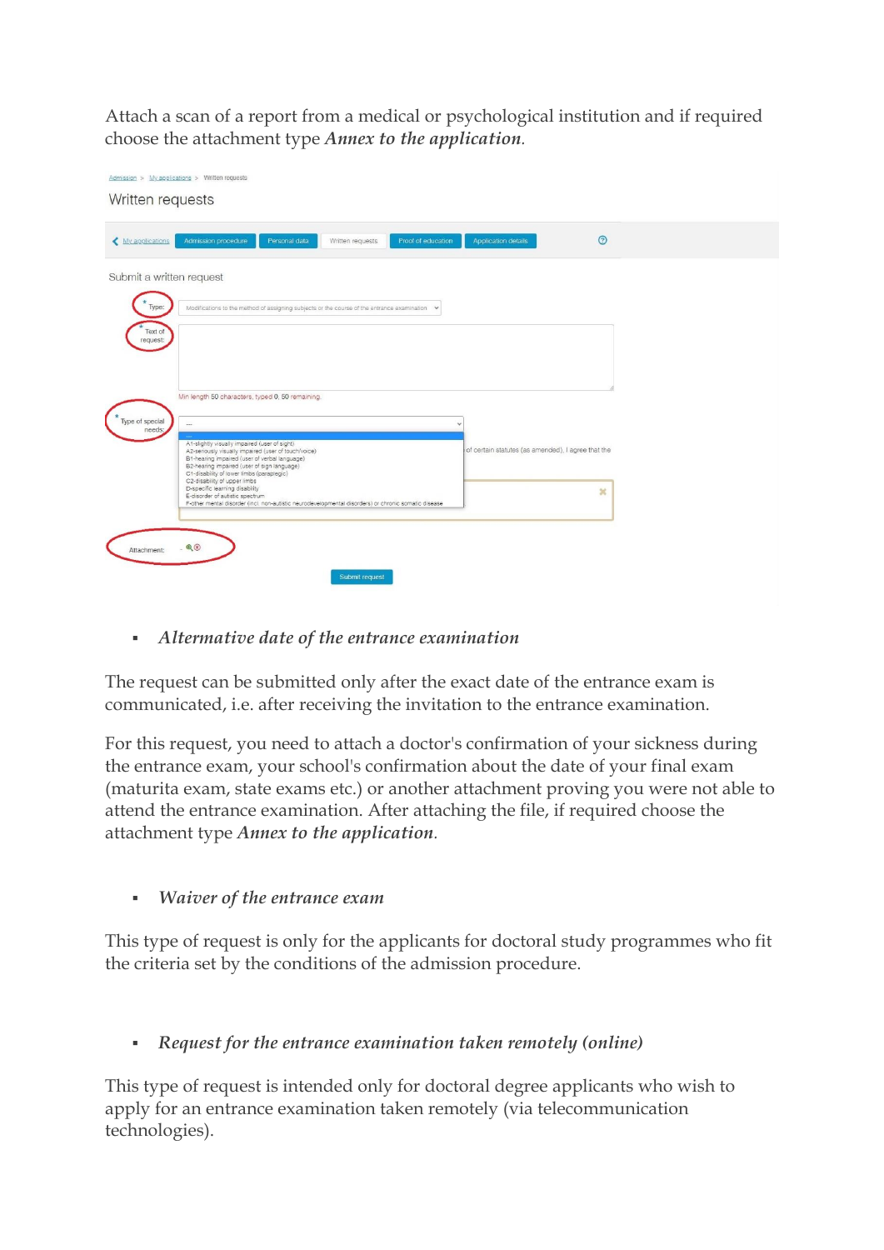Attach a scan of a report from a medical or psychological institution and if required choose the attachment type *Annex to the application.*

| Admission > My applications > Written requests<br>Written requests |                                                                                                                                                                                                                                                    |                                                    |  |
|--------------------------------------------------------------------|----------------------------------------------------------------------------------------------------------------------------------------------------------------------------------------------------------------------------------------------------|----------------------------------------------------|--|
| My applications                                                    | Proof of education<br>Admission procedure<br>Personal data<br>Written requests                                                                                                                                                                     | $\odot$<br>Application details                     |  |
| Submit a written request                                           |                                                                                                                                                                                                                                                    |                                                    |  |
| Type:<br>Text of<br>request:                                       | Modifications to the method of assigning subjects or the course of the entrance examination v                                                                                                                                                      |                                                    |  |
|                                                                    |                                                                                                                                                                                                                                                    |                                                    |  |
| Type of special<br>needs:                                          | Min length 50 characters, typed 0, 50 remaining.<br>$\overline{\phantom{a}}$                                                                                                                                                                       |                                                    |  |
|                                                                    | A1-slightly visually impaired (user of sight)<br>A2-seriously visually impaired (user of touch/voice)<br>B1-hearing impaired (user of verbal language)<br>B2-hearing impaired (user of sign language)<br>C1-disability of lower limbs (paraplegic) | of certain statutes (as amended), I agree that the |  |
|                                                                    | C2-disability of upper limbs<br>D-specific learning disability<br>E-disorder of autistic spectrum<br>F-other mental disorder (incl. non-autistic neurodevelopmental disorders) or chronic somatic disease                                          | ×                                                  |  |
| Attachment:                                                        | $- Q(x)$                                                                                                                                                                                                                                           |                                                    |  |
|                                                                    | Submit request                                                                                                                                                                                                                                     |                                                    |  |

*Altermative date of the entrance examination*

The request can be submitted only after the exact date of the entrance exam is communicated, i.e. after receiving the invitation to the entrance examination.

For this request, you need to attach a doctor's confirmation of your sickness during the entrance exam, your school's confirmation about the date of your final exam (maturita exam, state exams etc.) or another attachment proving you were not able to attend the entrance examination. After attaching the file, if required choose the attachment type *Annex to the application.*

*Waiver of the entrance exam*

This type of request is only for the applicants for doctoral study programmes who fit the criteria set by the conditions of the admission procedure.

*Request for the entrance examination taken remotely (online)*

This type of request is intended only for doctoral degree applicants who wish to apply for an entrance examination taken remotely (via telecommunication technologies).